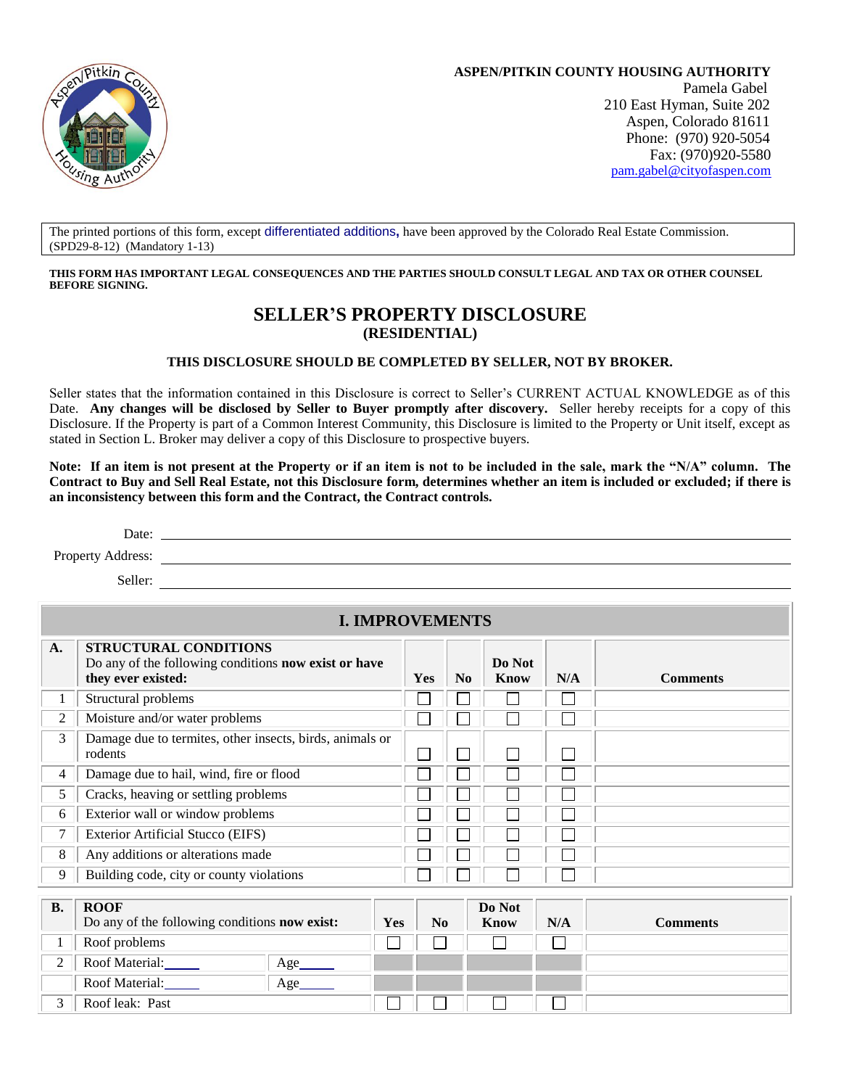

**ASPEN/PITKIN COUNTY HOUSING AUTHORITY** Pamela Gabel 210 East Hyman, Suite 202 Aspen, Colorado 81611 Phone: (970) 920-5054 Fax: (970)920-5580 [pam.gabel@cityofaspen.com](mailto:pam.gabel@cityofaspen.com)

The printed portions of this form, except differentiated additions**,** have been approved by the Colorado Real Estate Commission. (SPD29-8-12) (Mandatory 1-13)

**THIS FORM HAS IMPORTANT LEGAL CONSEQUENCES AND THE PARTIES SHOULD CONSULT LEGAL AND TAX OR OTHER COUNSEL BEFORE SIGNING.**

## **SELLER'S PROPERTY DISCLOSURE (RESIDENTIAL)**

#### **THIS DISCLOSURE SHOULD BE COMPLETED BY SELLER, NOT BY BROKER.**

Seller states that the information contained in this Disclosure is correct to Seller's CURRENT ACTUAL KNOWLEDGE as of this Date. **Any changes will be disclosed by Seller to Buyer promptly after discovery.** Seller hereby receipts for a copy of this Disclosure. If the Property is part of a Common Interest Community, this Disclosure is limited to the Property or Unit itself, except as stated in Section L. Broker may deliver a copy of this Disclosure to prospective buyers.

**Note: If an item is not present at the Property or if an item is not to be included in the sale, mark the "N/A" column. The Contract to Buy and Sell Real Estate, not this Disclosure form, determines whether an item is included or excluded; if there is an inconsistency between this form and the Contract, the Contract controls.**

Date:

Property Address:

Seller:

## **I. IMPROVEMENTS**

| A.        | <b>STRUCTURAL CONDITIONS</b><br>Do any of the following conditions now exist or have<br>they ever existed: |                          |     | Yes | N <sub>0</sub> | Do Not<br>Know | N/A | <b>Comments</b> |
|-----------|------------------------------------------------------------------------------------------------------------|--------------------------|-----|-----|----------------|----------------|-----|-----------------|
| 1         | Structural problems                                                                                        |                          |     |     |                |                |     |                 |
| 2         | Moisture and/or water problems                                                                             |                          |     |     |                |                |     |                 |
| 3         | Damage due to termites, other insects, birds, animals or<br>rodents                                        |                          |     |     |                |                |     |                 |
| 4         | Damage due to hail, wind, fire or flood                                                                    |                          |     |     |                |                |     |                 |
| 5         | Cracks, heaving or settling problems                                                                       |                          |     |     |                |                |     |                 |
| 6         | Exterior wall or window problems                                                                           |                          |     |     |                |                |     |                 |
| 7         | Exterior Artificial Stucco (EIFS)                                                                          |                          |     |     |                |                |     |                 |
| 8         | Any additions or alterations made                                                                          |                          |     |     |                |                |     |                 |
| 9         | Building code, city or county violations                                                                   |                          |     |     |                |                |     |                 |
|           |                                                                                                            |                          |     |     |                |                |     |                 |
| <b>B.</b> | <b>ROOF</b>                                                                                                |                          |     |     |                | Do Not         |     |                 |
|           | Do any of the following conditions now exist:                                                              |                          | Yes | No  |                | Know           | N/A | <b>Comments</b> |
|           | Roof problems                                                                                              |                          |     |     |                |                |     |                 |
| 2         | Roof Material:                                                                                             | $Age$ <sub>_______</sub> |     |     |                |                |     |                 |
|           | Roof Material:                                                                                             | Age                      |     |     |                |                |     |                 |
| 3         | Roof leak: Past                                                                                            |                          |     |     |                |                |     |                 |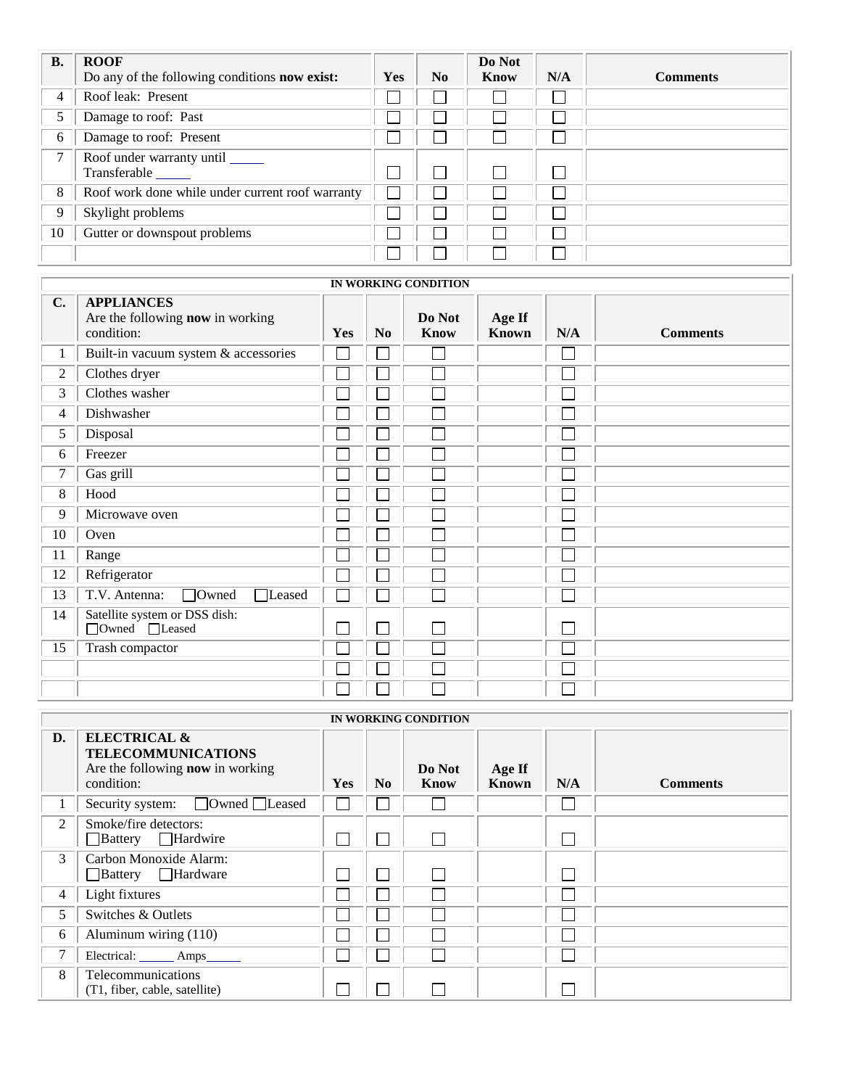| <b>B.</b>      | <b>ROOF</b>                                      |     |                | Do Not |     |                 |
|----------------|--------------------------------------------------|-----|----------------|--------|-----|-----------------|
|                | Do any of the following conditions now exist:    | Yes | N <sub>0</sub> | Know   | N/A | <b>Comments</b> |
| $\overline{4}$ | Roof leak: Present                               |     |                |        |     |                 |
| 5              | Damage to roof: Past                             |     |                |        |     |                 |
| 6              | Damage to roof: Present                          |     |                |        |     |                 |
| 7              | Roof under warranty until ______<br>Transferable |     |                |        |     |                 |
| 8              | Roof work done while under current roof warranty |     |                |        |     |                 |
| 9              | Skylight problems                                |     |                |        |     |                 |
| 10             | Gutter or downspout problems                     |     |                |        |     |                 |
|                |                                                  |     |                |        |     |                 |

|    |                                                                     |     |                | IN WORKING CONDITION  |                        |     |                 |
|----|---------------------------------------------------------------------|-----|----------------|-----------------------|------------------------|-----|-----------------|
| C. | <b>APPLIANCES</b><br>Are the following now in working<br>condition: | Yes | N <sub>0</sub> | Do Not<br><b>Know</b> | Age If<br><b>Known</b> | N/A | <b>Comments</b> |
| 1  | Built-in vacuum system & accessories                                |     |                | $\Box$                |                        |     |                 |
| 2  | Clothes dryer                                                       |     |                | L.                    |                        |     |                 |
| 3  | Clothes washer                                                      |     |                | $\Box$                |                        |     |                 |
| 4  | Dishwasher                                                          |     |                | L.                    |                        |     |                 |
| 5  | Disposal                                                            |     |                | $\mathbf{L}$          |                        |     |                 |
| 6  | Freezer                                                             |     |                | Г                     |                        |     |                 |
| 7  | Gas grill                                                           |     |                | $\mathsf{L}$          |                        |     |                 |
| 8  | Hood                                                                |     |                | L.                    |                        |     |                 |
| 9  | Microwave oven                                                      |     |                | ┌                     |                        |     |                 |
| 10 | Oven                                                                |     |                | L.                    |                        |     |                 |
| 11 | Range                                                               |     |                | L.                    |                        |     |                 |
| 12 | Refrigerator                                                        |     |                | L.                    |                        |     |                 |
| 13 | □Owned<br>$\Box$ Leased<br>T.V. Antenna:                            |     |                | Г                     |                        |     |                 |
| 14 | Satellite system or DSS dish:<br>□Owned □Leased                     |     | ٦              | П                     |                        |     |                 |
| 15 | Trash compactor                                                     |     |                | Г                     |                        |     |                 |
|    |                                                                     |     |                | L.                    |                        |     |                 |
|    |                                                                     |     |                |                       |                        |     |                 |

|                | IN WORKING CONDITION                                                                                          |            |                |                |                        |     |                 |  |  |  |  |
|----------------|---------------------------------------------------------------------------------------------------------------|------------|----------------|----------------|------------------------|-----|-----------------|--|--|--|--|
| D.             | <b>ELECTRICAL &amp;</b><br><b>TELECOMMUNICATIONS</b><br>Are the following <b>now</b> in working<br>condition: | <b>Yes</b> | N <sub>0</sub> | Do Not<br>Know | Age If<br><b>Known</b> | N/A | <b>Comments</b> |  |  |  |  |
| $\mathbf{I}$   | Security system: □ Owned □ Leased                                                                             |            |                |                |                        |     |                 |  |  |  |  |
| 2              | Smoke/fire detectors:<br>Battery Hardwire                                                                     |            |                |                |                        |     |                 |  |  |  |  |
| 3              | Carbon Monoxide Alarm:<br>Battery Hardware                                                                    |            |                |                |                        |     |                 |  |  |  |  |
| $\overline{4}$ | Light fixtures                                                                                                |            |                |                |                        |     |                 |  |  |  |  |
| 5              | Switches & Outlets                                                                                            |            |                |                |                        |     |                 |  |  |  |  |
| 6              | Aluminum wiring (110)                                                                                         |            |                |                |                        |     |                 |  |  |  |  |
| 7              | Electrical: ______ Amps______                                                                                 |            |                |                |                        |     |                 |  |  |  |  |
| 8              | Telecommunications<br>(T1, fiber, cable, satellite)                                                           |            |                |                |                        |     |                 |  |  |  |  |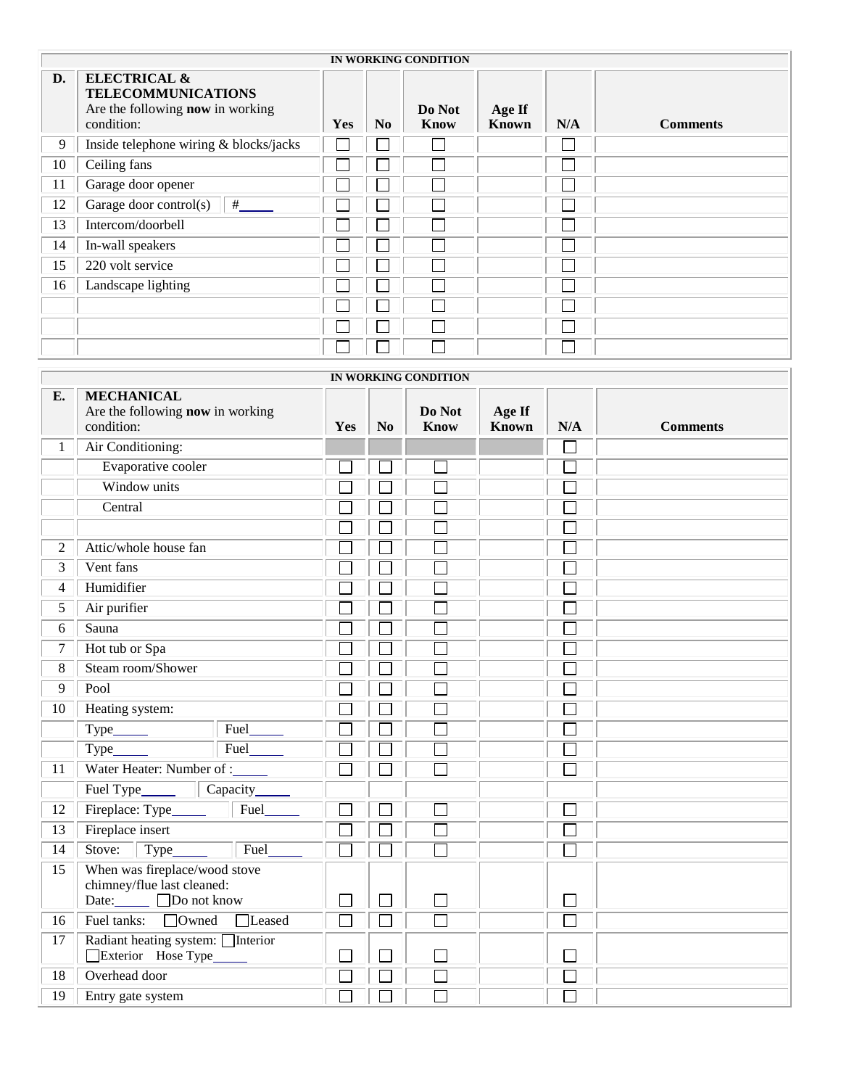|    | IN WORKING CONDITION                                                                                   |            |                |                       |                        |     |                 |  |  |  |
|----|--------------------------------------------------------------------------------------------------------|------------|----------------|-----------------------|------------------------|-----|-----------------|--|--|--|
| D. | <b>ELECTRICAL &amp;</b><br><b>TELECOMMUNICATIONS</b><br>Are the following now in working<br>condition: | <b>Yes</b> | N <sub>0</sub> | Do Not<br><b>Know</b> | Age If<br><b>Known</b> | N/A | <b>Comments</b> |  |  |  |
| 9  | Inside telephone wiring & blocks/jacks                                                                 |            |                |                       |                        |     |                 |  |  |  |
| 10 | Ceiling fans                                                                                           |            |                |                       |                        |     |                 |  |  |  |
| 11 | Garage door opener                                                                                     |            |                |                       |                        |     |                 |  |  |  |
| 12 | Garage door control(s)<br>#                                                                            |            |                |                       |                        |     |                 |  |  |  |
| 13 | Intercom/doorbell                                                                                      |            |                |                       |                        |     |                 |  |  |  |
| 14 | In-wall speakers                                                                                       |            |                |                       |                        |     |                 |  |  |  |
| 15 | 220 volt service                                                                                       |            |                |                       |                        |     |                 |  |  |  |
| 16 | Landscape lighting                                                                                     |            |                |                       |                        |     |                 |  |  |  |
|    |                                                                                                        |            |                |                       |                        |     |                 |  |  |  |
|    |                                                                                                        |            |                |                       |                        |     |                 |  |  |  |
|    |                                                                                                        |            |                |                       |                        |     |                 |  |  |  |

|              | IN WORKING CONDITION                                                             |        |                |                       |                 |     |                 |  |  |  |  |
|--------------|----------------------------------------------------------------------------------|--------|----------------|-----------------------|-----------------|-----|-----------------|--|--|--|--|
| E.           | <b>MECHANICAL</b><br>Are the following now in working<br>condition:              | Yes    | N <sub>0</sub> | Do Not<br><b>Know</b> | Age If<br>Known | N/A | <b>Comments</b> |  |  |  |  |
| $\mathbf{1}$ | Air Conditioning:                                                                |        |                |                       |                 |     |                 |  |  |  |  |
|              | Evaporative cooler                                                               |        |                | $\sim$                |                 |     |                 |  |  |  |  |
|              | Window units                                                                     |        |                |                       |                 |     |                 |  |  |  |  |
|              | Central                                                                          |        |                |                       |                 |     |                 |  |  |  |  |
|              |                                                                                  |        |                |                       |                 |     |                 |  |  |  |  |
| 2            | Attic/whole house fan                                                            |        |                |                       |                 |     |                 |  |  |  |  |
| 3            | Vent fans                                                                        |        |                |                       |                 |     |                 |  |  |  |  |
| 4            | Humidifier                                                                       |        |                |                       |                 |     |                 |  |  |  |  |
| 5            | Air purifier                                                                     |        |                |                       |                 |     |                 |  |  |  |  |
| 6            | Sauna                                                                            |        |                |                       |                 |     |                 |  |  |  |  |
| $\tau$       | Hot tub or Spa                                                                   |        |                |                       |                 |     |                 |  |  |  |  |
| 8            | Steam room/Shower                                                                |        |                |                       |                 |     |                 |  |  |  |  |
| 9            | Pool                                                                             |        |                |                       |                 |     |                 |  |  |  |  |
| 10           | Heating system:                                                                  |        |                |                       |                 |     |                 |  |  |  |  |
|              | Fuel                                                                             |        |                |                       |                 |     |                 |  |  |  |  |
|              | Fuel<br>Type_                                                                    |        |                |                       |                 |     |                 |  |  |  |  |
| 11           | Water Heater: Number of :_                                                       |        |                |                       |                 |     |                 |  |  |  |  |
|              | Fuel Type_<br>Capacity_<br>$\mathbb{R}$                                          |        |                |                       |                 |     |                 |  |  |  |  |
| 12           | Fireplace: Type<br>Fuel                                                          |        |                |                       |                 |     |                 |  |  |  |  |
| 13           | Fireplace insert                                                                 |        |                | Γ                     |                 |     |                 |  |  |  |  |
| 14           | Fuel<br>Stove:<br>Type                                                           |        |                |                       |                 |     |                 |  |  |  |  |
| 15           | When was fireplace/wood stove<br>chimney/flue last cleaned:<br>Date: Do not know |        | Ξ              |                       |                 |     |                 |  |  |  |  |
| 16           | Fuel tanks: Owned<br>□Leased                                                     | $\Box$ |                | $\Box$                |                 |     |                 |  |  |  |  |
| 17           | Radiant heating system: Interior<br>Exterior Hose Type                           |        |                |                       |                 |     |                 |  |  |  |  |
| 18           | Overhead door                                                                    |        |                |                       |                 |     |                 |  |  |  |  |
| 19           | Entry gate system                                                                |        |                |                       |                 |     |                 |  |  |  |  |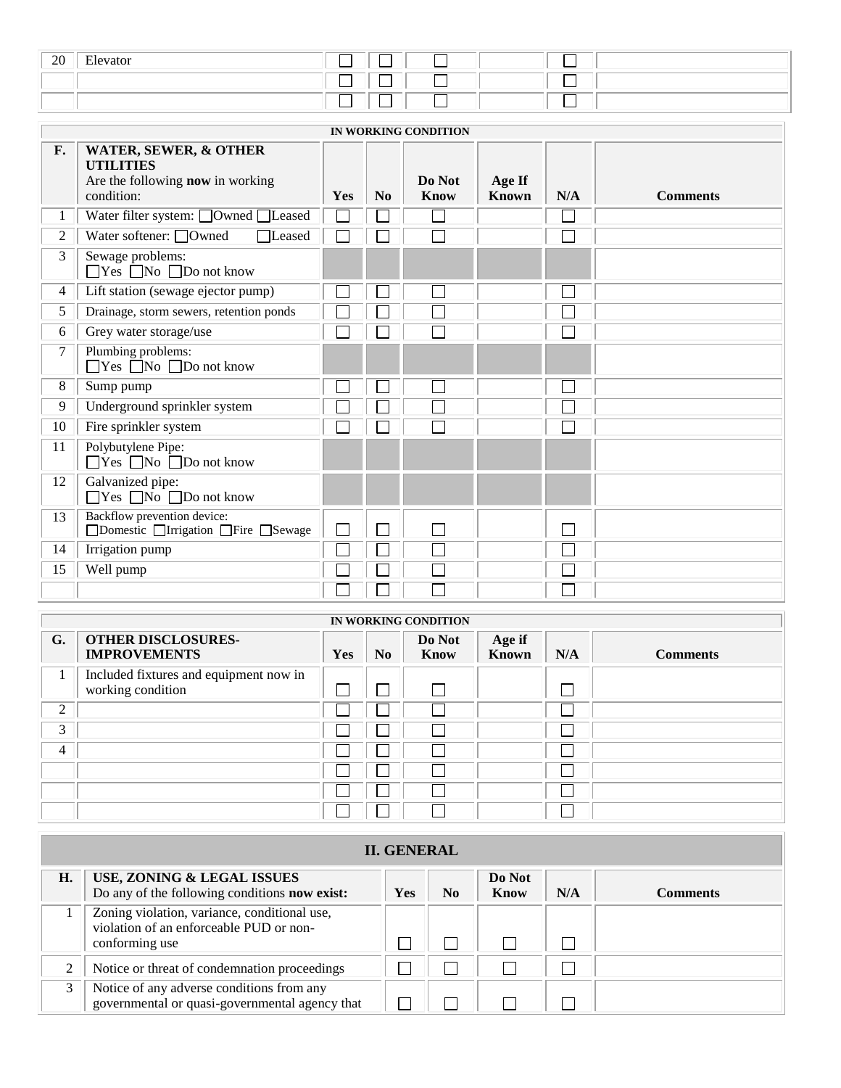| 20 | $\sim$<br>Elevator |  |  |
|----|--------------------|--|--|
|    |                    |  |  |
|    |                    |  |  |

|                | IN WORKING CONDITION                                                                               |     |          |                       |                 |     |                 |  |  |  |
|----------------|----------------------------------------------------------------------------------------------------|-----|----------|-----------------------|-----------------|-----|-----------------|--|--|--|
| F.             | WATER, SEWER, & OTHER<br><b>UTILITIES</b><br>Are the following <b>now</b> in working<br>condition: | Yes | $\bf No$ | Do Not<br><b>Know</b> | Age If<br>Known | N/A | <b>Comments</b> |  |  |  |
| 1              | Water filter system: □Owned □Leased                                                                |     |          |                       |                 |     |                 |  |  |  |
| $\overline{2}$ | Water softener: $\Box$ Owned<br>□Leased                                                            |     |          |                       |                 |     |                 |  |  |  |
| 3              | Sewage problems:<br>$\Box$ Yes $\Box$ No $\Box$ Do not know                                        |     |          |                       |                 |     |                 |  |  |  |
| 4              | Lift station (sewage ejector pump)                                                                 |     |          | $\mathcal{L}$         |                 |     |                 |  |  |  |
| 5              | Drainage, storm sewers, retention ponds                                                            |     |          |                       |                 |     |                 |  |  |  |
| 6              | Grey water storage/use                                                                             |     |          |                       |                 |     |                 |  |  |  |
| 7              | Plumbing problems:<br>$\Box$ Yes $\Box$ No $\Box$ Do not know                                      |     |          |                       |                 |     |                 |  |  |  |
| 8              | Sump pump                                                                                          |     |          | $\mathcal{L}$         |                 |     |                 |  |  |  |
| 9              | Underground sprinkler system                                                                       |     |          |                       |                 |     |                 |  |  |  |
| 10             | Fire sprinkler system                                                                              |     |          |                       |                 |     |                 |  |  |  |
| 11             | Polybutylene Pipe:<br>$\Box$ Yes $\Box$ No $\Box$ Do not know                                      |     |          |                       |                 |     |                 |  |  |  |
| 12             | Galvanized pipe:<br>$\Box$ Yes $\Box$ No $\Box$ Do not know                                        |     |          |                       |                 |     |                 |  |  |  |
| 13             | Backflow prevention device:<br>□Domestic □Irrigation □Fire □Sewage                                 |     | Ξ        |                       |                 |     |                 |  |  |  |
| 14             | Irrigation pump                                                                                    |     |          |                       |                 |     |                 |  |  |  |
| 15             | Well pump                                                                                          |     |          |                       |                 |     |                 |  |  |  |
|                |                                                                                                    |     |          |                       |                 |     |                 |  |  |  |

|                | IN WORKING CONDITION                                        |            |                |                |                 |     |                 |  |  |  |  |
|----------------|-------------------------------------------------------------|------------|----------------|----------------|-----------------|-----|-----------------|--|--|--|--|
| G.             | <b>OTHER DISCLOSURES-</b><br><b>IMPROVEMENTS</b>            | <b>Yes</b> | N <sub>0</sub> | Do Not<br>Know | Age if<br>Known | N/A | <b>Comments</b> |  |  |  |  |
| $\mathbf{I}$   | Included fixtures and equipment now in<br>working condition |            |                | l.             |                 |     |                 |  |  |  |  |
| 2              |                                                             |            |                | $\sim$         |                 |     |                 |  |  |  |  |
| 3              |                                                             |            |                | $\sim$         |                 |     |                 |  |  |  |  |
| $\overline{4}$ |                                                             |            |                | ×              |                 |     |                 |  |  |  |  |
|                |                                                             |            |                |                |                 |     |                 |  |  |  |  |
|                |                                                             |            |                | $\sim$         |                 |     |                 |  |  |  |  |
|                |                                                             |            |                |                |                 |     |                 |  |  |  |  |

|    | <b>II. GENERAL</b>                                                                                        |     |    |                |     |                 |  |  |  |  |
|----|-----------------------------------------------------------------------------------------------------------|-----|----|----------------|-----|-----------------|--|--|--|--|
| H. | USE, ZONING & LEGAL ISSUES<br>Do any of the following conditions now exist:                               | Yes | No | Do Not<br>Know | N/A | <b>Comments</b> |  |  |  |  |
|    | Zoning violation, variance, conditional use,<br>violation of an enforceable PUD or non-<br>conforming use |     |    |                |     |                 |  |  |  |  |
|    | Notice or threat of condemnation proceedings                                                              |     |    |                |     |                 |  |  |  |  |
|    | Notice of any adverse conditions from any<br>governmental or quasi-governmental agency that               |     |    |                |     |                 |  |  |  |  |

 $\overline{\phantom{a}}$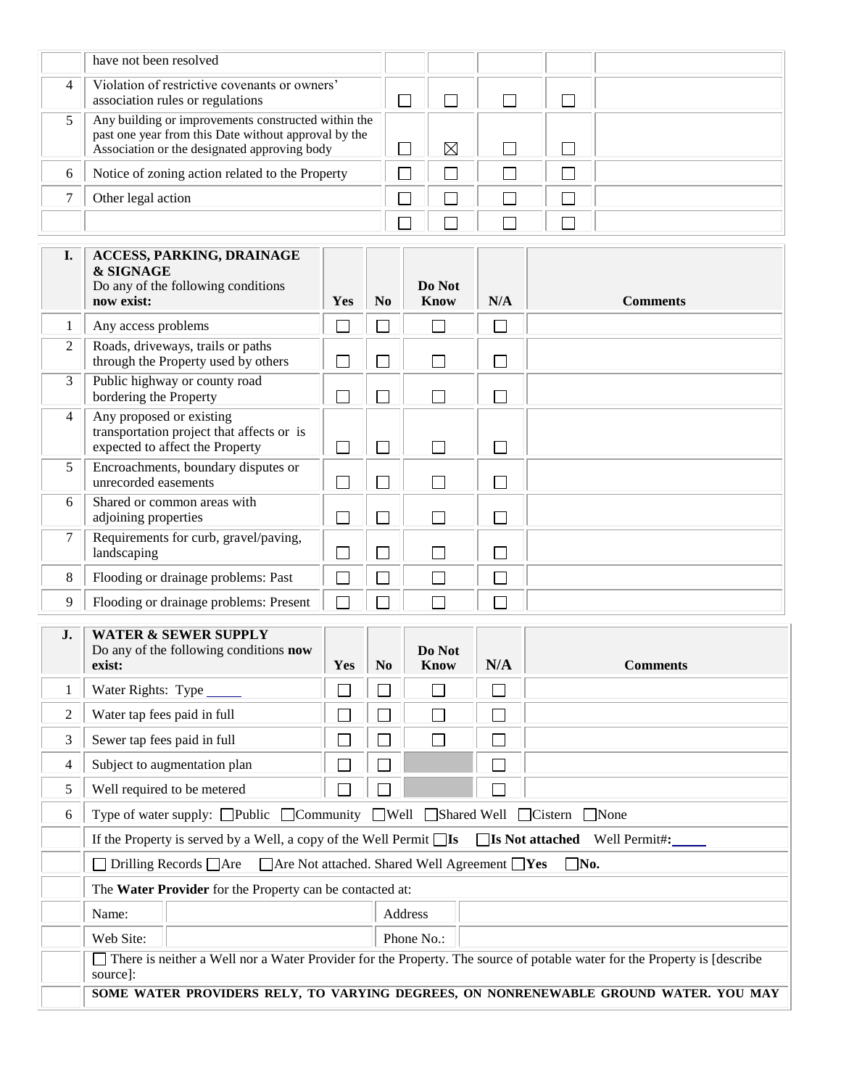|   | have not been resolved                                                                                                                                      |  |  |  |
|---|-------------------------------------------------------------------------------------------------------------------------------------------------------------|--|--|--|
| 4 | Violation of restrictive covenants or owners'<br>association rules or regulations                                                                           |  |  |  |
|   | Any building or improvements constructed within the<br>past one year from this Date without approval by the<br>Association or the designated approving body |  |  |  |
| 6 | Notice of zoning action related to the Property                                                                                                             |  |  |  |
|   | Other legal action                                                                                                                                          |  |  |  |
|   |                                                                                                                                                             |  |  |  |

| I. | <b>ACCESS, PARKING, DRAINAGE</b><br>& SIGNAGE<br>Do any of the following conditions<br>now exist:        | Yes | N <sub>0</sub>           | Do Not<br><b>Know</b> | N/A | <b>Comments</b> |
|----|----------------------------------------------------------------------------------------------------------|-----|--------------------------|-----------------------|-----|-----------------|
|    |                                                                                                          |     |                          |                       |     |                 |
| 1  | Any access problems                                                                                      |     |                          |                       |     |                 |
| 2  | Roads, driveways, trails or paths<br>through the Property used by others                                 |     | $\overline{\phantom{a}}$ |                       | 그   |                 |
| 3  | Public highway or county road<br>bordering the Property                                                  |     |                          |                       |     |                 |
| 4  | Any proposed or existing<br>transportation project that affects or is<br>expected to affect the Property |     | n l                      |                       |     |                 |
| 5  | Encroachments, boundary disputes or<br>unrecorded easements                                              |     |                          |                       |     |                 |
| 6  | Shared or common areas with<br>adjoining properties                                                      |     | $\sim$                   |                       |     |                 |
| 7  | Requirements for curb, gravel/paving,<br>landscaping                                                     |     |                          |                       |     |                 |
| 8  | Flooding or drainage problems: Past                                                                      |     |                          |                       |     |                 |
| 9  | Flooding or drainage problems: Present                                                                   |     |                          |                       |     |                 |

| $\mathbf{J}$ . | exist:                                                                                                                              | <b>WATER &amp; SEWER SUPPLY</b><br>Do any of the following conditions <b>now</b> | <b>Yes</b>                  | N <sub>0</sub> | Do Not<br>Know | N/A | <b>Comments</b> |  |  |
|----------------|-------------------------------------------------------------------------------------------------------------------------------------|----------------------------------------------------------------------------------|-----------------------------|----------------|----------------|-----|-----------------|--|--|
| 1              | Water Rights: Type ______                                                                                                           |                                                                                  |                             |                |                |     |                 |  |  |
| 2              | Water tap fees paid in full                                                                                                         |                                                                                  |                             |                |                |     |                 |  |  |
| 3              | Sewer tap fees paid in full                                                                                                         |                                                                                  |                             |                |                |     |                 |  |  |
| 4              | Subject to augmentation plan                                                                                                        |                                                                                  | $\mathcal{L}_{\mathcal{A}}$ |                |                |     |                 |  |  |
| 5              | Well required to be metered                                                                                                         |                                                                                  | $\sim$                      |                |                |     |                 |  |  |
| 6              | Type of water supply: □Public □Community □Well □Shared Well □Cistern □None                                                          |                                                                                  |                             |                |                |     |                 |  |  |
|                | If the Property is served by a Well, a copy of the Well Permit $\Box$ Is $\Box$ <b>Not attached</b> Well Permit#:                   |                                                                                  |                             |                |                |     |                 |  |  |
|                | $\Box$ No.<br>$\Box$ Drilling Records $\Box$ Are $\Box$ Are Not attached. Shared Well Agreement $\Box$ Yes                          |                                                                                  |                             |                |                |     |                 |  |  |
|                | The Water Provider for the Property can be contacted at:                                                                            |                                                                                  |                             |                |                |     |                 |  |  |
|                | Name:                                                                                                                               |                                                                                  |                             | Address        |                |     |                 |  |  |
|                | Web Site:                                                                                                                           |                                                                                  |                             | Phone No.:     |                |     |                 |  |  |
|                | There is neither a Well nor a Water Provider for the Property. The source of potable water for the Property is [describe<br>source: |                                                                                  |                             |                |                |     |                 |  |  |
|                | SOME WATER PROVIDERS RELY, TO VARYING DEGREES, ON NONRENEWABLE GROUND WATER. YOU MAY                                                |                                                                                  |                             |                |                |     |                 |  |  |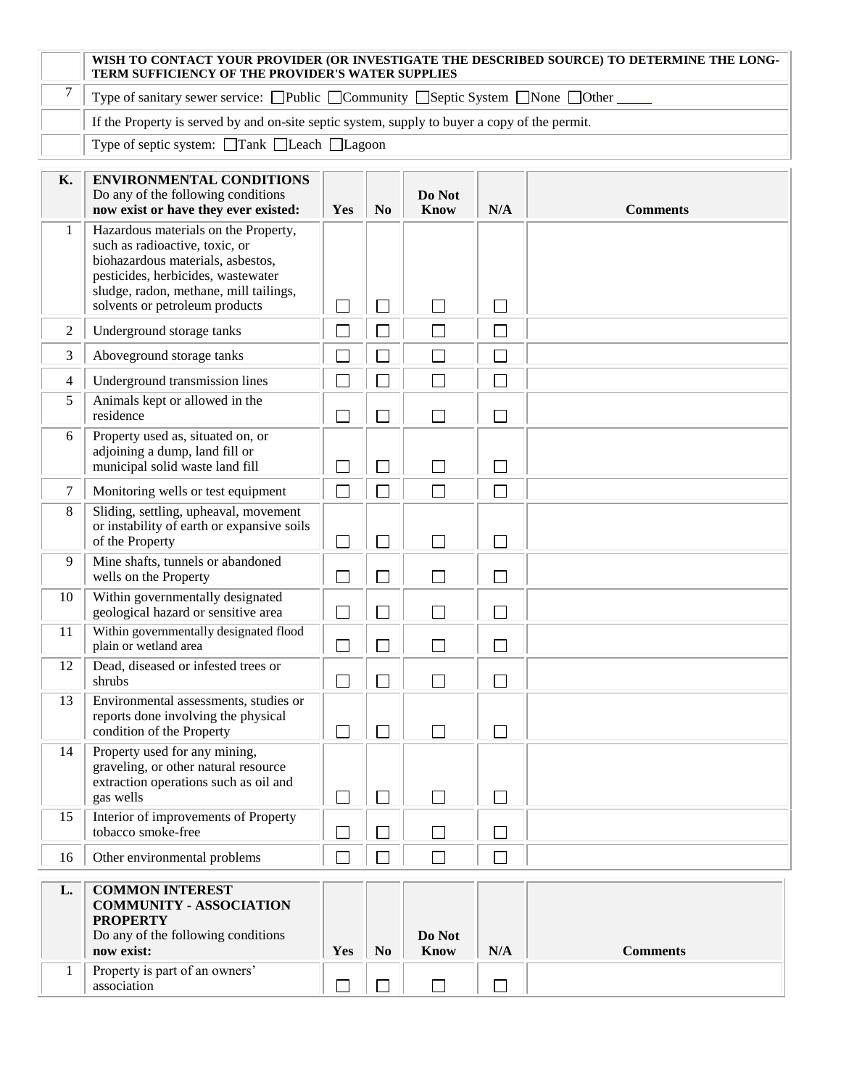|    | WISH TO CONTACT YOUR PROVIDER (OR INVESTIGATE THE DESCRIBED SOURCE) TO DETERMINE THE LONG-<br>TERM SUFFICIENCY OF THE PROVIDER'S WATER SUPPLIES                                                                               |                             |                |                |        |                 |  |  |  |
|----|-------------------------------------------------------------------------------------------------------------------------------------------------------------------------------------------------------------------------------|-----------------------------|----------------|----------------|--------|-----------------|--|--|--|
| 7  | Type of sanitary sewer service: $\Box$ Public $\Box$ Community $\Box$ Septic System $\Box$ None $\Box$ Other                                                                                                                  |                             |                |                |        |                 |  |  |  |
|    | If the Property is served by and on-site septic system, supply to buyer a copy of the permit.                                                                                                                                 |                             |                |                |        |                 |  |  |  |
|    | Type of septic system: □Tank □Leach □Lagoon                                                                                                                                                                                   |                             |                |                |        |                 |  |  |  |
| K. | <b>ENVIRONMENTAL CONDITIONS</b><br>Do any of the following conditions<br>now exist or have they ever existed:                                                                                                                 | Yes                         | N <sub>0</sub> | Do Not<br>Know | N/A    | <b>Comments</b> |  |  |  |
| 1  | Hazardous materials on the Property,<br>such as radioactive, toxic, or<br>biohazardous materials, asbestos,<br>pesticides, herbicides, wastewater<br>sludge, radon, methane, mill tailings,<br>solvents or petroleum products | $\overline{\phantom{0}}$    | $\sim$         | П              | $\Box$ |                 |  |  |  |
| 2  | Underground storage tanks                                                                                                                                                                                                     |                             |                | П              | $\Box$ |                 |  |  |  |
| 3  | Aboveground storage tanks                                                                                                                                                                                                     |                             |                | $\Box$         | $\Box$ |                 |  |  |  |
| 4  | Underground transmission lines                                                                                                                                                                                                |                             |                | $\Box$         | $\Box$ |                 |  |  |  |
| 5  | Animals kept or allowed in the<br>residence                                                                                                                                                                                   | П                           |                | П              | $\Box$ |                 |  |  |  |
| 6  | Property used as, situated on, or<br>adjoining a dump, land fill or<br>municipal solid waste land fill                                                                                                                        | $\mathcal{L}_{\mathcal{A}}$ | ۰              | П              | П      |                 |  |  |  |
| 7  | Monitoring wells or test equipment                                                                                                                                                                                            | $\Box$                      |                | $\Box$         | П      |                 |  |  |  |
| 8  | Sliding, settling, upheaval, movement<br>or instability of earth or expansive soils<br>of the Property                                                                                                                        | $\mathcal{L}$               | ×.             | П              | $\Box$ |                 |  |  |  |
| 9  | Mine shafts, tunnels or abandoned<br>wells on the Property                                                                                                                                                                    | П                           |                | П              | $\Box$ |                 |  |  |  |
| 10 | Within governmentally designated<br>geological hazard or sensitive area                                                                                                                                                       | l.                          | ×              | П              | Г      |                 |  |  |  |
| 11 | Within governmentally designated flood<br>plain or wetland area                                                                                                                                                               | $\Box$                      | П              | $\Box$         | $\Box$ |                 |  |  |  |
| 12 | Dead, diseased or infested trees or<br>shrubs                                                                                                                                                                                 | $\Box$                      |                | $\Box$         | $\Box$ |                 |  |  |  |
| 13 | Environmental assessments, studies or<br>reports done involving the physical<br>condition of the Property                                                                                                                     | $\Box$                      | $\Box$         | $\Box$         | $\Box$ |                 |  |  |  |
| 14 | Property used for any mining,<br>graveling, or other natural resource<br>extraction operations such as oil and<br>gas wells                                                                                                   | $\mathcal{L}$               | $\Box$         | П              | П      |                 |  |  |  |
| 15 | Interior of improvements of Property<br>tobacco smoke-free                                                                                                                                                                    |                             |                | П              | П      |                 |  |  |  |
| 16 | Other environmental problems                                                                                                                                                                                                  | $\Box$                      |                | $\Box$         | $\Box$ |                 |  |  |  |
| L. | <b>COMMON INTEREST</b><br><b>COMMUNITY - ASSOCIATION</b><br><b>PROPERTY</b><br>Do any of the following conditions                                                                                                             |                             |                | Do Not         |        |                 |  |  |  |
|    | now exist:                                                                                                                                                                                                                    | Yes                         | N <sub>0</sub> | Know           | N/A    | <b>Comments</b> |  |  |  |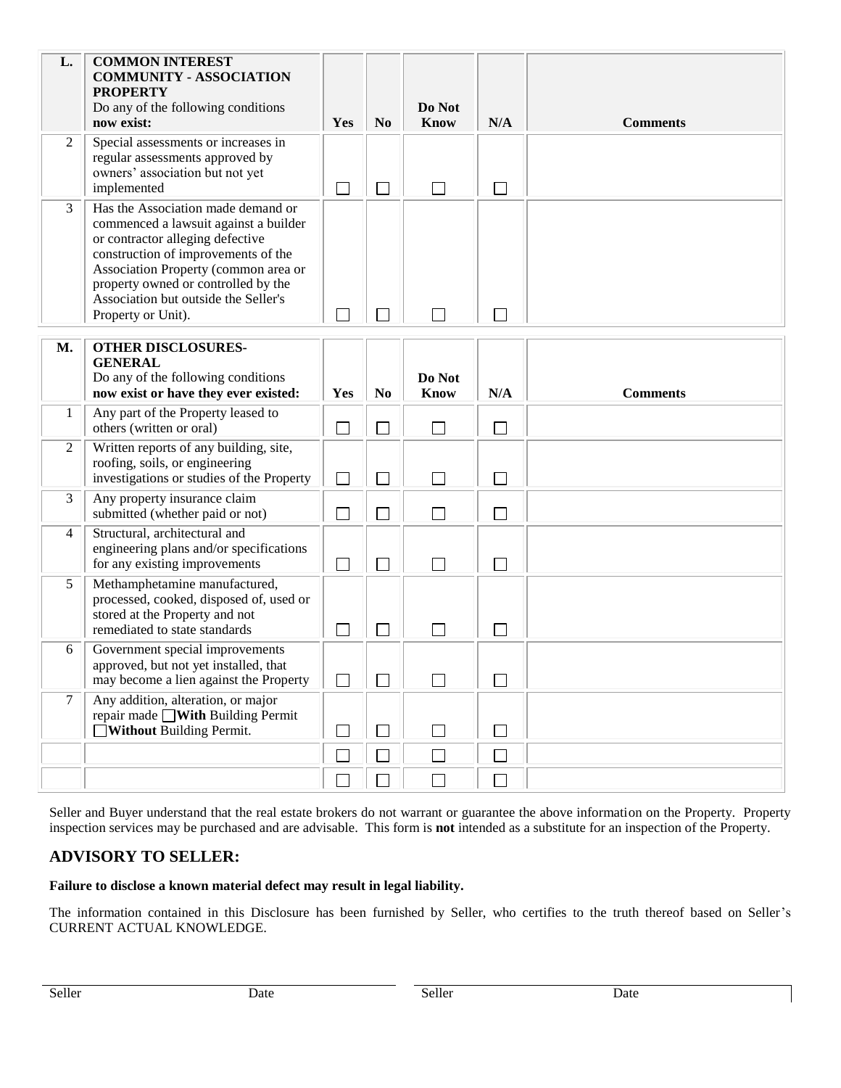| L.             | <b>COMMON INTEREST</b><br><b>COMMUNITY - ASSOCIATION</b><br><b>PROPERTY</b><br>Do any of the following conditions<br>now exist:                                                                                                                                                                     | Yes    | N <sub>0</sub> | Do Not<br><b>Know</b>       | N/A                         | <b>Comments</b> |
|----------------|-----------------------------------------------------------------------------------------------------------------------------------------------------------------------------------------------------------------------------------------------------------------------------------------------------|--------|----------------|-----------------------------|-----------------------------|-----------------|
| $\overline{2}$ | Special assessments or increases in<br>regular assessments approved by<br>owners' association but not yet<br>implemented                                                                                                                                                                            |        |                | П                           | $\sim$                      |                 |
| 3              | Has the Association made demand or<br>commenced a lawsuit against a builder<br>or contractor alleging defective<br>construction of improvements of the<br>Association Property (common area or<br>property owned or controlled by the<br>Association but outside the Seller's<br>Property or Unit). |        |                | $\mathcal{L}_{\mathcal{A}}$ |                             |                 |
| <b>M.</b>      | <b>OTHER DISCLOSURES-</b><br><b>GENERAL</b><br>Do any of the following conditions<br>now exist or have they ever existed:                                                                                                                                                                           | Yes    | N <sub>0</sub> | Do Not<br><b>Know</b>       | N/A                         | <b>Comments</b> |
| 1              | Any part of the Property leased to<br>others (written or oral)                                                                                                                                                                                                                                      | $\Box$ |                | $\Box$                      | $\overline{\phantom{a}}$    |                 |
| 2              | Written reports of any building, site,<br>roofing, soils, or engineering<br>investigations or studies of the Property                                                                                                                                                                               |        |                |                             |                             |                 |
| 3              | Any property insurance claim<br>submitted (whether paid or not)                                                                                                                                                                                                                                     |        |                | П                           | $\mathcal{L}_{\mathcal{A}}$ |                 |
| $\overline{4}$ | Structural, architectural and<br>engineering plans and/or specifications<br>for any existing improvements                                                                                                                                                                                           | $\Box$ |                | П                           | ٦                           |                 |
| 5              | Methamphetamine manufactured,<br>processed, cooked, disposed of, used or<br>stored at the Property and not<br>remediated to state standards                                                                                                                                                         |        |                | $\mathbb{R}^n$              | $\mathcal{A}$               |                 |
| 6              | Government special improvements<br>approved, but not yet installed, that<br>may become a lien against the Property                                                                                                                                                                                  |        |                | П                           |                             |                 |
| 7              | Any addition, alteration, or major<br>repair made $\Box$ With Building Permit<br>Without Building Permit.                                                                                                                                                                                           |        |                |                             |                             |                 |
|                |                                                                                                                                                                                                                                                                                                     |        |                | $\Box$                      | $\mathcal{L}_{\mathcal{A}}$ |                 |
|                |                                                                                                                                                                                                                                                                                                     |        |                | $\Box$                      |                             |                 |

Seller and Buyer understand that the real estate brokers do not warrant or guarantee the above information on the Property. Property inspection services may be purchased and are advisable. This form is **not** intended as a substitute for an inspection of the Property.

# **ADVISORY TO SELLER:**

### **Failure to disclose a known material defect may result in legal liability.**

The information contained in this Disclosure has been furnished by Seller, who certifies to the truth thereof based on Seller's CURRENT ACTUAL KNOWLEDGE.